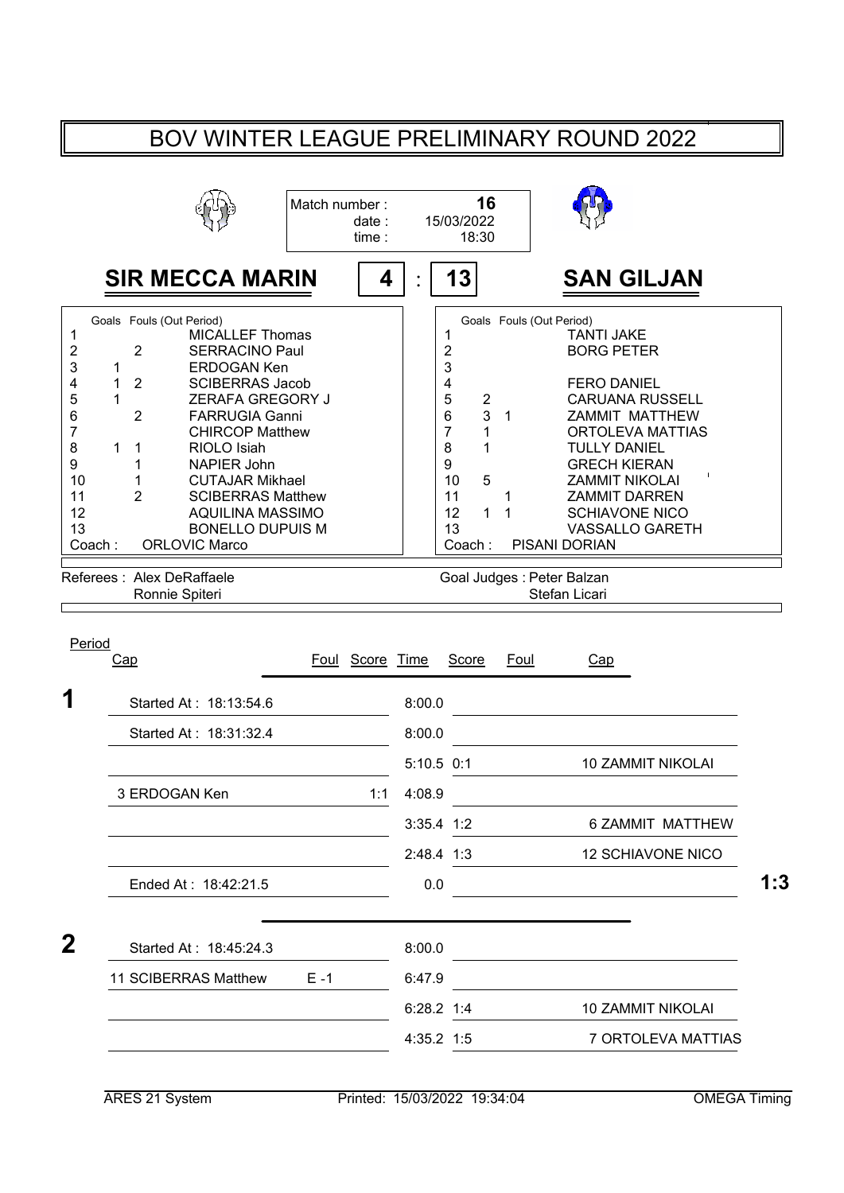## BOV WINTER LEAGUE PRELIMINARY ROUND 2022

|                                                                                               |                                                                                            |                                                                                                                                                                                                                                                                                                                                       | Match number: | date:<br>time:  | 16<br>15/03/2022<br>18:30                                                                                                          |                                                    |                                                                                                                                                                                                                                                                                |
|-----------------------------------------------------------------------------------------------|--------------------------------------------------------------------------------------------|---------------------------------------------------------------------------------------------------------------------------------------------------------------------------------------------------------------------------------------------------------------------------------------------------------------------------------------|---------------|-----------------|------------------------------------------------------------------------------------------------------------------------------------|----------------------------------------------------|--------------------------------------------------------------------------------------------------------------------------------------------------------------------------------------------------------------------------------------------------------------------------------|
|                                                                                               |                                                                                            | <b>SIR MECCA MARIN</b>                                                                                                                                                                                                                                                                                                                |               | 4               | 13                                                                                                                                 |                                                    | <b>SAN GILJAN</b>                                                                                                                                                                                                                                                              |
| 1<br>2<br>3<br>4<br>5<br>6<br>$\overline{7}$<br>8<br>$\boldsymbol{9}$<br>10<br>11<br>12<br>13 | $\overline{2}$<br>1<br>$\overline{2}$<br>1<br>1<br>$\overline{2}$<br>1<br>1<br>1<br>1<br>2 | Goals Fouls (Out Period)<br><b>MICALLEF Thomas</b><br>SERRACINO Paul<br><b>ERDOGAN Ken</b><br><b>SCIBERRAS Jacob</b><br>ZERAFA GREGORY J<br><b>FARRUGIA Ganni</b><br><b>CHIRCOP Matthew</b><br>RIOLO Isiah<br>NAPIER John<br><b>CUTAJAR Mikhael</b><br><b>SCIBERRAS Matthew</b><br><b>AQUILINA MASSIMO</b><br><b>BONELLO DUPUIS M</b> |               |                 | 1<br>$\overline{\mathbf{c}}$<br>3<br>4<br>5<br>2<br>6<br>3<br>$\overline{7}$<br>1<br>8<br>1<br>9<br>5<br>10<br>11<br>12<br>1<br>13 | Goals Fouls (Out Period)<br>$\mathbf{1}$<br>1<br>1 | <b>TANTI JAKE</b><br><b>BORG PETER</b><br><b>FERO DANIEL</b><br><b>CARUANA RUSSELL</b><br>ZAMMIT MATTHEW<br>ORTOLEVA MATTIAS<br><b>TULLY DANIEL</b><br><b>GRECH KIERAN</b><br><b>ZAMMIT NIKOLAI</b><br><b>ZAMMIT DARREN</b><br><b>SCHIAVONE NICO</b><br><b>VASSALLO GARETH</b> |
|                                                                                               |                                                                                            | <b>ORLOVIC Marco</b>                                                                                                                                                                                                                                                                                                                  |               |                 | Coach:                                                                                                                             |                                                    | <b>PISANI DORIAN</b>                                                                                                                                                                                                                                                           |
|                                                                                               |                                                                                            | Referees : Alex DeRaffaele<br>Ronnie Spiteri                                                                                                                                                                                                                                                                                          |               |                 |                                                                                                                                    | Goal Judges : Peter Balzan                         | Stefan Licari                                                                                                                                                                                                                                                                  |
|                                                                                               | Cap                                                                                        |                                                                                                                                                                                                                                                                                                                                       |               | Foul Score Time | Score                                                                                                                              | Foul                                               | Cap                                                                                                                                                                                                                                                                            |
|                                                                                               |                                                                                            | Started At: 18:13:54.6                                                                                                                                                                                                                                                                                                                |               |                 | 8:00.0                                                                                                                             |                                                    |                                                                                                                                                                                                                                                                                |
|                                                                                               |                                                                                            | Started At: 18:31:32.4                                                                                                                                                                                                                                                                                                                |               |                 | 8:00.0                                                                                                                             |                                                    |                                                                                                                                                                                                                                                                                |
|                                                                                               |                                                                                            |                                                                                                                                                                                                                                                                                                                                       |               |                 | $5:10.5$ 0:1                                                                                                                       |                                                    | <b>10 ZAMMIT NIKOLAI</b>                                                                                                                                                                                                                                                       |
|                                                                                               |                                                                                            | 3 ERDOGAN Ken                                                                                                                                                                                                                                                                                                                         |               | 1:1             | 4:08.9                                                                                                                             |                                                    |                                                                                                                                                                                                                                                                                |
|                                                                                               |                                                                                            |                                                                                                                                                                                                                                                                                                                                       |               |                 | 3:35.4 1:2                                                                                                                         |                                                    | 6 ZAMMIT MATTHEW                                                                                                                                                                                                                                                               |
|                                                                                               |                                                                                            |                                                                                                                                                                                                                                                                                                                                       |               |                 | 2:48.4 1:3                                                                                                                         |                                                    | <b>12 SCHIAVONE NICO</b>                                                                                                                                                                                                                                                       |
|                                                                                               |                                                                                            | Ended At: 18:42:21.5                                                                                                                                                                                                                                                                                                                  |               |                 | 0.0                                                                                                                                |                                                    | $\mathcal{L}(\mathcal{L}^{\mathcal{L}})$ and $\mathcal{L}^{\mathcal{L}}$ are the set of the set of the set of $\mathcal{L}^{\mathcal{L}}$                                                                                                                                      |
|                                                                                               |                                                                                            | Started At: 18:45:24.3                                                                                                                                                                                                                                                                                                                |               |                 | 8:00.0                                                                                                                             |                                                    |                                                                                                                                                                                                                                                                                |
|                                                                                               |                                                                                            | 11 SCIBERRAS Matthew                                                                                                                                                                                                                                                                                                                  | $E - 1$       |                 | 6:47.9                                                                                                                             |                                                    |                                                                                                                                                                                                                                                                                |
| Coach:<br>Period<br>1<br>$\mathbf{2}$                                                         |                                                                                            |                                                                                                                                                                                                                                                                                                                                       |               |                 | 6:28.2 1:4                                                                                                                         |                                                    | <b>10 ZAMMIT NIKOLAI</b>                                                                                                                                                                                                                                                       |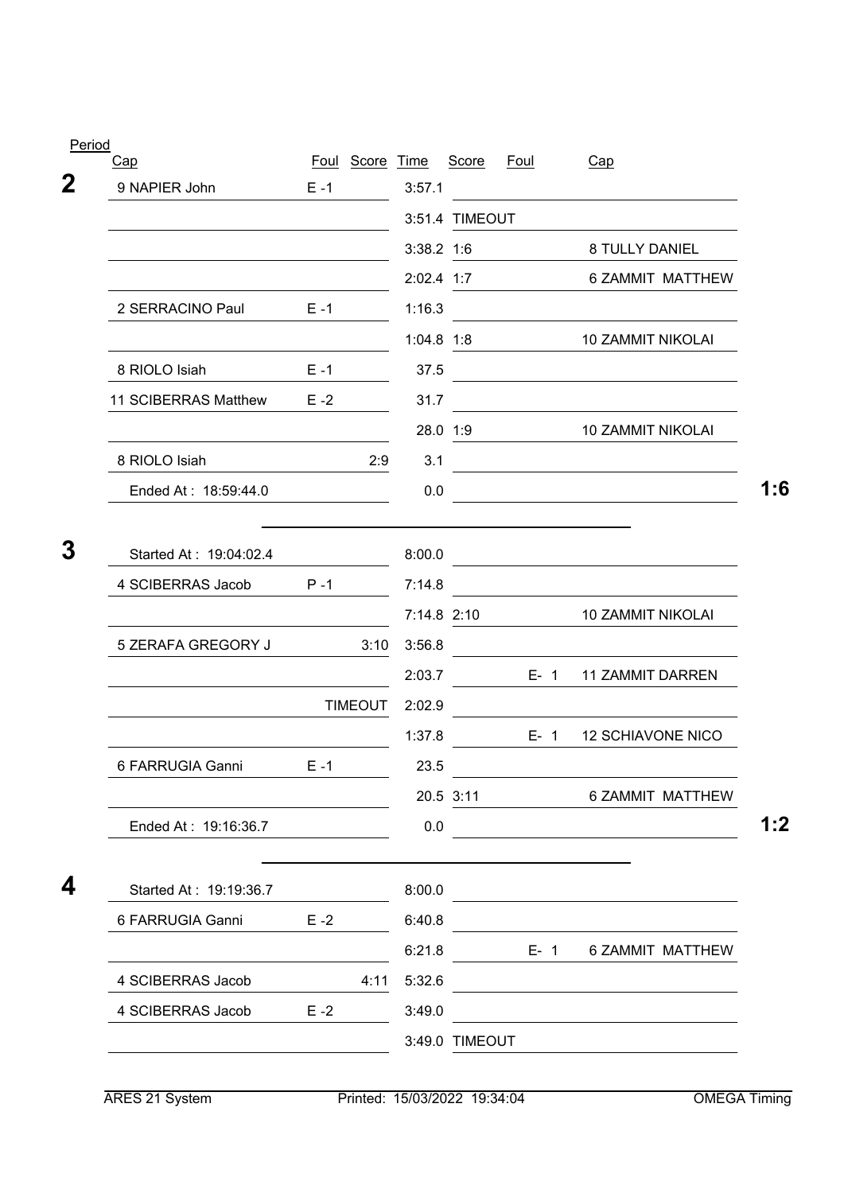| Period<br>Cap          |         | Foul Score Time |              | Score          | <u>Foul</u> | Cap                                                                                                                   |
|------------------------|---------|-----------------|--------------|----------------|-------------|-----------------------------------------------------------------------------------------------------------------------|
| 9 NAPIER John          | $E - 1$ |                 | 3:57.1       |                |             |                                                                                                                       |
|                        |         |                 |              | 3:51.4 TIMEOUT |             |                                                                                                                       |
|                        |         |                 | $3:38.2$ 1:6 |                |             | 8 TULLY DANIEL                                                                                                        |
|                        |         |                 |              | 2:02.4 1:7     |             | 6 ZAMMIT MATTHEW                                                                                                      |
| 2 SERRACINO Paul       | $E - 1$ |                 | 1:16.3       |                |             |                                                                                                                       |
|                        |         |                 | $1:04.8$ 1:8 |                |             | <b>10 ZAMMIT NIKOLAI</b>                                                                                              |
| 8 RIOLO Isiah          | $E - 1$ |                 | 37.5         |                |             |                                                                                                                       |
| 11 SCIBERRAS Matthew   | $E - 2$ |                 | 31.7         |                |             |                                                                                                                       |
|                        |         |                 |              | 28.0 1:9       |             | 10 ZAMMIT NIKOLAI                                                                                                     |
| 8 RIOLO Isiah          |         | 2:9             | 3.1          |                |             | <u> 1980 - Johann Barbara, martxa amerikan personal (</u>                                                             |
| Ended At: 18:59:44.0   |         |                 | 0.0          |                |             |                                                                                                                       |
| Started At: 19:04:02.4 |         |                 | 8:00.0       |                |             |                                                                                                                       |
| 4 SCIBERRAS Jacob      | $P - 1$ |                 | 7:14.8       |                |             |                                                                                                                       |
|                        |         |                 |              | 7:14.8 2:10    |             | <b>10 ZAMMIT NIKOLAI</b>                                                                                              |
| 5 ZERAFA GREGORY J     |         | 3:10            | 3:56.8       |                |             |                                                                                                                       |
|                        |         |                 | 2:03.7       |                | $E - 1$     | <b>11 ZAMMIT DARREN</b>                                                                                               |
|                        |         | <b>TIMEOUT</b>  | 2:02.9       |                |             |                                                                                                                       |
|                        |         |                 | 1:37.8       |                | $E - 1$     | <b>12 SCHIAVONE NICO</b>                                                                                              |
| 6 FARRUGIA Ganni       | $E - 1$ |                 | 23.5         |                |             |                                                                                                                       |
|                        |         |                 |              | 20.5 3:11      |             | 6 ZAMMIT MATTHEW                                                                                                      |
| Ended At: 19:16:36.7   |         |                 | 0.0          |                |             |                                                                                                                       |
| Started At: 19:19:36.7 |         |                 | 8:00.0       |                |             | <u> 1989 - Johann Barn, mars ann an t-Amhain Aonaich ann an t-Aonaich ann an t-Aonaich ann an t-Aonaich ann an t-</u> |
| 6 FARRUGIA Ganni       | $E - 2$ |                 | 6:40.8       |                |             |                                                                                                                       |
|                        |         |                 | 6:21.8       |                | $E - 1$     | 6 ZAMMIT MATTHEW                                                                                                      |
| 4 SCIBERRAS Jacob      |         | 4:11            | 5:32.6       |                |             |                                                                                                                       |
| 4 SCIBERRAS Jacob      | $E - 2$ |                 | 3:49.0       |                |             |                                                                                                                       |
|                        |         |                 |              | 3:49.0 TIMEOUT |             |                                                                                                                       |